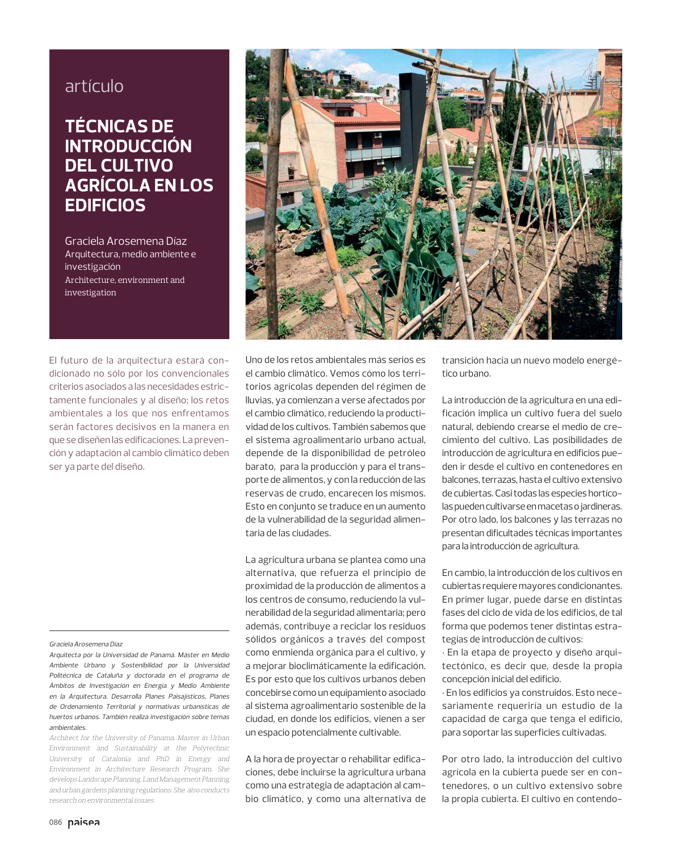## artículo

# **TÉCNICAS DE INTRODUCCIÓN DEL CULTIVO AGRÍCOLA EN LOS EDIFICIOS**

Graciela Arosemena Díaz Arquitectura, medio ambiente e investigación Architecture, environment and investigation

El futuro de la arquitectura estará condicionado no sólo por los convencionales criterios asociados a las necesidades estrictamente funcionales y al diseño; los retos ambientales a los que nos enfrentamos serán factores decisivos en la manera en que se diseñen las edificaciones. La prevención y adaptación al cambio climático deben ser ya parte del diseño.

#### Graciela Arosemena Díaz

Arquitecta por la Universidad de Panamá. Máster en Medio Ambiente Urbano y Sostenibilidad por la Universidad Politécnica de Cataluña y doctorada en el programa de Ámbitos de Investigación en Energía y Medio Ambiente en la Arquitectura. Desarrolla Planes Paisajísticos, Planes de Ordenamiento Territorial y normativas urbanísticas de huertos urbanos. También realiza investigación sobre temas ambientales.

Architect for the University of Panama. Master in Urban Environment and Sustainability at the Polytechnic University of Catalonia and PhD in Energy and Environment in Architecture Research Program. She develops Landscape Planning, Land Management Planning and urban gardens planning regulations. She also conducts research on environmental issues.



Uno de los retos ambientales más serios es el cambio climático. Vemos cómo los territorios agrícolas dependen del régimen de lluvias, va comienzan a verse afectados por el cambio climático, reduciendo la productividad de los cultivos. También sabemos que el sistema agroalimentario urbano actual, depende de la disponibilidad de petróleo barato, para la producción y para el transporte de alimentos, y con la reducción de las reservas de crudo, encarecen los mismos. Esto en conjunto se traduce en un aumento de la vulnerabilidad de la seguridad alimentaria de las ciudades.

La agricultura urbana se plantea como una alternativa, que refuerza el principio de proximidad de la producción de alimentos a los centros de consumo, reduciendo la vulnerabilidad de la seguridad alimentaria; pero además, contribuye a reciclar los residuos sólidos orgánicos a través del compost como enmienda orgánica para el cultivo, y a mejorar bioclimáticamente la edificación. Es por esto que los cultivos urbanos deben concebirse como un equipamiento asociado al sistema agroalimentario sostenible de la ciudad, en donde los edificios, vienen a ser un espacio potencialmente cultivable.

A la hora de proyectar o rehabilitar edificaciones, debe incluirse la agricultura urbana como una estrategia de adaptación al cambio climático, y como una alternativa de transición hacia un nuevo modelo energético urbano.

La introducción de la agricultura en una edificación implica un cultivo fuera del suelo natural, debiendo crearse el medio de crecimiento del cultivo. Las posibilidades de introducción de agricultura en edificios pueden ir desde el cultivo en contenedores en balcones, terrazas, hasta el cultivo extensivo de cubiertas. Casi todas las especies hortícolas pueden cultivarse en macetas o jardineras. Por otro lado, los balcones y las terrazas no presentan dificultades técnicas importantes para la introducción de agricultura.

En cambio, la introducción de los cultivos en cubiertas requiere mayores condicionantes. En primer lugar, puede darse en distintas fases del ciclo de vida de los edificios, de tal forma que podemos tener distintas estrategias de introducción de cultivos:

· En la etapa de proyecto y diseño arquitectónico, es decir que, desde la propia concepción inicial del edificio.

· En los edificios ya construidos. Esto necesariamente requeriría un estudio de la capacidad de carga que tenga el edificio, para soportar las superficies cultivadas.

Por otro lado, la introducción del cultivo agrícola en la cubierta puede ser en contenedores, o un cultivo extensivo sobre la propia cubierta. El cultivo en contendo-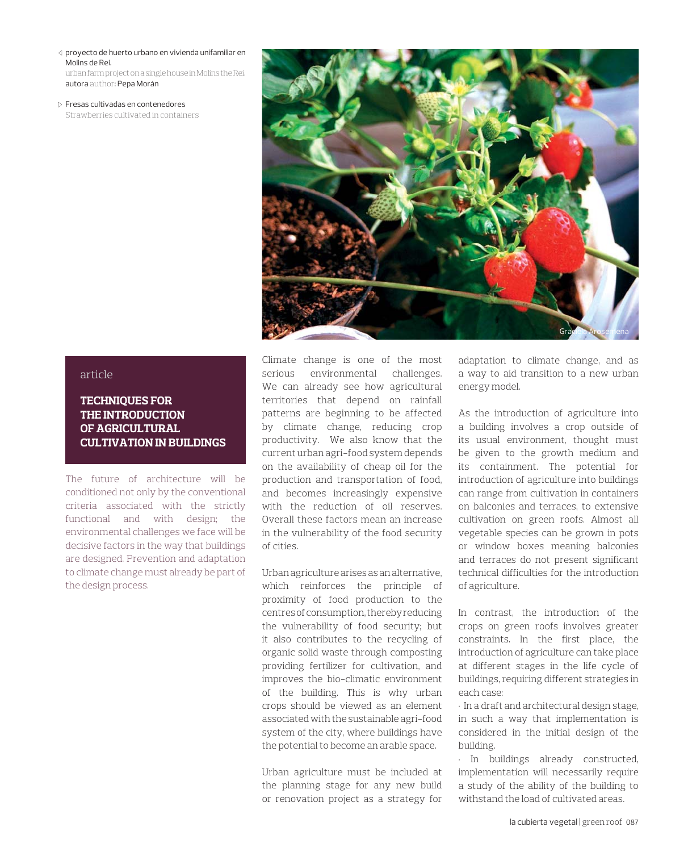- proyecto de huerto urbano en vivienda unifamiliar en Molins de Rei. urban farm project on a single house in Molins the Rei. autora author: Pepa Morán
- Fresas cultivadas en contenedores Strawberries cultivated in containers



### article

## **TECHNIQUES FOR THE INTRODUCTION OF AGRICULTURAL CULTIVATION IN BUILDINGS**

The future of architecture will be conditioned not only by the conventional criteria associated with the strictly functional and with design; the environmental challenges we face will be decisive factors in the way that buildings are designed. Prevention and adaptation to climate change must already be part of the design process.

Climate change is one of the most serious environmental challenges. We can already see how agricultural territories that depend on rainfall patterns are beginning to be affected by climate change, reducing crop productivity. We also know that the current urban agri-food system depends on the availability of cheap oil for the production and transportation of food, and becomes increasingly expensive with the reduction of oil reserves. Overall these factors mean an increase in the vulnerability of the food security of cities.

Urban agriculture arises as an alternative, which reinforces the principle of proximity of food production to the centres of consumption, thereby reducing the vulnerability of food security; but it also contributes to the recycling of organic solid waste through composting providing fertilizer for cultivation, and improves the bio-climatic environment of the building. This is why urban crops should be viewed as an element associated with the sustainable agri-food system of the city, where buildings have the potential to become an arable space.

Urban agriculture must be included at the planning stage for any new build or renovation project as a strategy for adaptation to climate change, and as a way to aid transition to a new urban energy model.

As the introduction of agriculture into a building involves a crop outside of its usual environment, thought must be given to the growth medium and its containment. The potential for introduction of agriculture into buildings can range from cultivation in containers on balconies and terraces, to extensive cultivation on green roofs. Almost all vegetable species can be grown in pots or window boxes meaning balconies and terraces do not present significant technical difficulties for the introduction of agriculture.

In contrast, the introduction of the crops on green roofs involves greater constraints. In the first place, the introduction of agriculture can take place at different stages in the life cycle of buildings, requiring different strategies in each case:

· In a draft and architectural design stage, in such a way that implementation is considered in the initial design of the building.

· In buildings already constructed, implementation will necessarily require a study of the ability of the building to withstand the load of cultivated areas.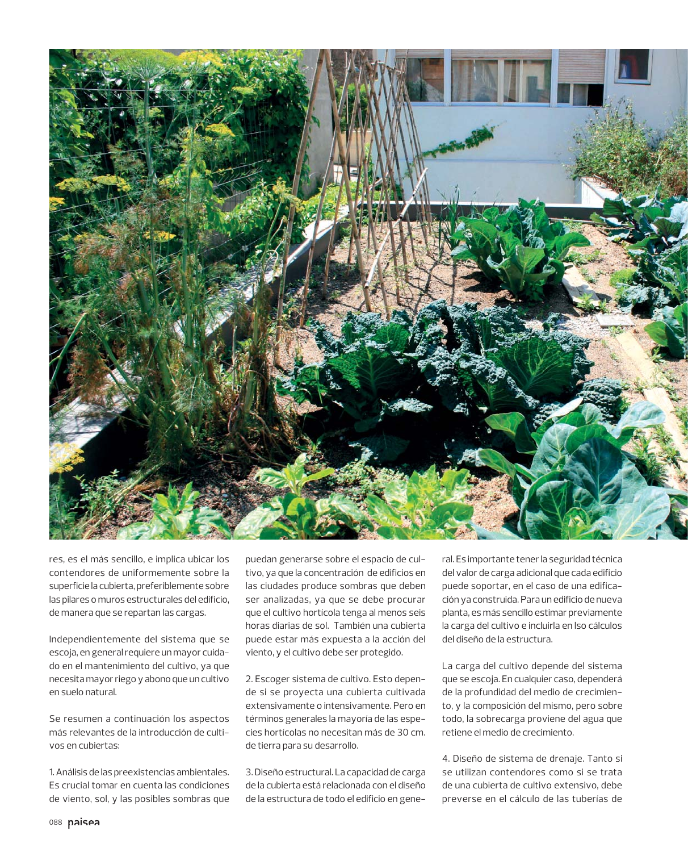

res, es el más sencillo, e implica ubicar los contendores de uniformemente sobre la superficie la cubierta, preferiblemente sobre las pilares o muros estructurales del edificio, de manera que se repartan las cargas.

Independientemente del sistema que se escoja, en general requiere un mayor cuidado en el mantenimiento del cultivo, ya que necesita mayor riego y abono que un cultivo en suelo natural.

Se resumen a continuación los aspectos más relevantes de la introducción de cultivos en cubiertas:

1. Análisis de las preexistencias ambientales. Es crucial tomar en cuenta las condiciones de viento, sol, y las posibles sombras que

puedan generarse sobre el espacio de cultivo, ya que la concentración de edificios en las ciudades produce sombras que deben ser analizadas, ya que se debe procurar que el cultivo hortícola tenga al menos seis horas diarias de sol. También una cubierta puede estar más expuesta a la acción del viento, y el cultivo debe ser protegido.

2. Escoger sistema de cultivo. Esto depende si se proyecta una cubierta cultivada extensivamente o intensivamente. Pero en términos generales la mayoría de las especies hortícolas no necesitan más de 30 cm. de tierra para su desarrollo.

3. Diseño estructural. La capacidad de carga de la cubierta está relacionada con el diseño de la estructura de todo el edificio en general. Es importante tener la seguridad técnica del valor de carga adicional que cada edificio puede soportar, en el caso de una edificación ya construida. Para un edificio de nueva planta, es más sencillo estimar previamente la carga del cultivo e incluirla en lso cálculos del diseño de la estructura.

La carga del cultivo depende del sistema que se escoja. En cualquier caso, dependerá de la profundidad del medio de crecimiento, y la composición del mismo, pero sobre todo, la sobrecarga proviene del agua que retiene el medio de crecimiento.

4. Diseño de sistema de drenaje. Tanto si se utilizan contendores como si se trata de una cubierta de cultivo extensivo, debe preverse en el cálculo de las tuberías de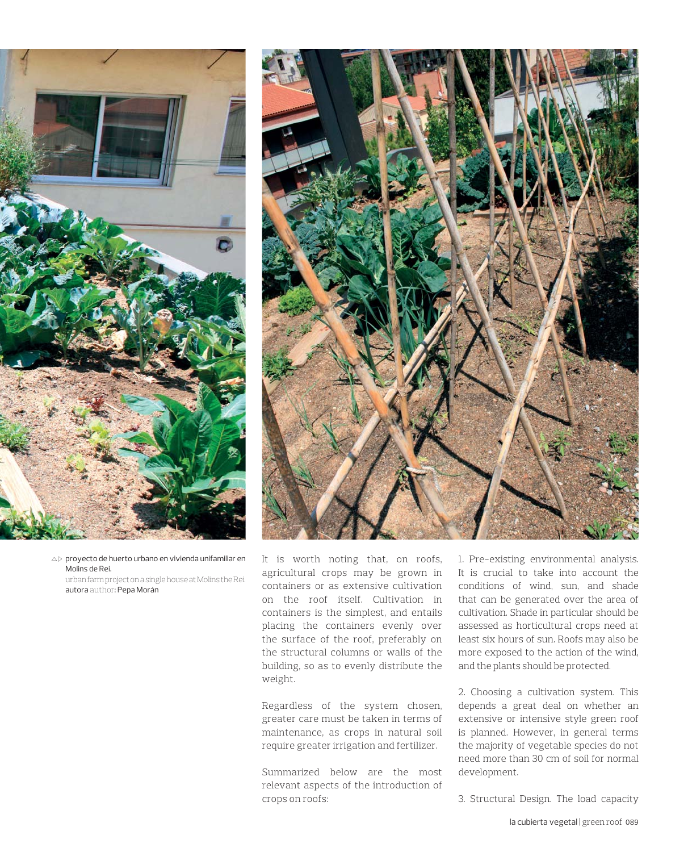



 $\Delta$  proyecto de huerto urbano en vivienda unifamiliar en Molins de Rei. urban farm project on a single house at Molins the Rei. autora author: Pepa Morán

It is worth noting that, on roofs, agricultural crops may be grown in containers or as extensive cultivation on the roof itself. Cultivation in containers is the simplest, and entails placing the containers evenly over the surface of the roof, preferably on the structural columns or walls of the building, so as to evenly distribute the weight.

Regardless of the system chosen, greater care must be taken in terms of maintenance, as crops in natural soil require greater irrigation and fertilizer.

Summarized below are the most relevant aspects of the introduction of crops on roofs:

1. Pre-existing environmental analysis. It is crucial to take into account the conditions of wind, sun, and shade that can be generated over the area of cultivation. Shade in particular should be assessed as horticultural crops need at least six hours of sun. Roofs may also be more exposed to the action of the wind, and the plants should be protected.

2. Choosing a cultivation system. This depends a great deal on whether an extensive or intensive style green roof is planned. However, in general terms the majority of vegetable species do not need more than 30 cm of soil for normal development.

3. Structural Design. The load capacity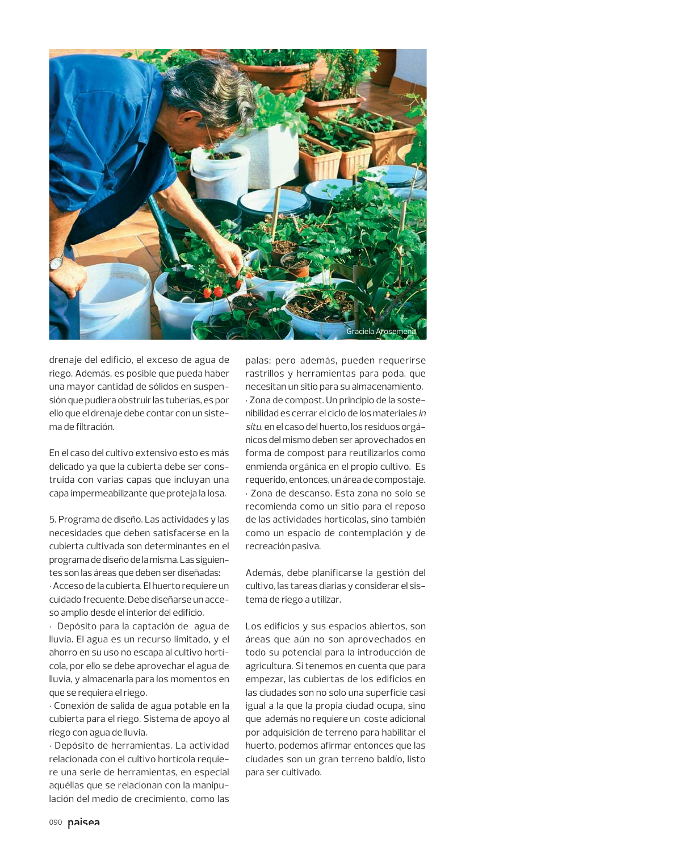

drenaje del edificio, el exceso de agua de riego. Además, es posible que pueda haber una mayor cantidad de sólidos en suspensión que pudiera obstruir las tuberías, es por ello que el drenaje debe contar con un sistema de filtración.

En el caso del cultivo extensivo esto es más delicado ya que la cubierta debe ser construida con varias capas que incluyan una capa impermeabilizante que proteja la losa.

5. Programa de diseño. Las actividades y las necesidades que deben satisfacerse en la cubierta cultivada son determinantes en el programa de diseño de la misma. Las siguientes son las áreas que deben ser diseñadas: · Acceso de la cubierta. El huerto requiere un cuidado frecuente. Debe diseñarse un acceso amplio desde el interior del edificio.

· Depósito para la captación de agua de lluvia. El agua es un recurso limitado, y el ahorro en su uso no escapa al cultivo hortícola, por ello se debe aprovechar el agua de Iluvia, y almacenarla para los momentos en que se requiera el riego.

· Conexión de salida de agua potable en la cubierta para el riego. Sistema de apoyo al riego con agua de lluvia.

· Depósito de herramientas. La actividad relacionada con el cultivo hortícola requiere una serie de herramientas, en especial aquéllas que se relacionan con la manipulación del medio de crecimiento, como las

palas; pero además, pueden requerirse rastrillos y herramientas para poda, que necesitan un sitio para su almacenamiento.  $\cdot$  Zona de compost. Un principio de la sostenibilidad es cerrar el ciclo de los materiales in situ, en el caso del huerto, los residuos orgánicos del mismo deben ser aprovechados en forma de compost para reutilizarlos como enmienda orgánica en el propio cultivo. Es requerido, entonces, un área de compostaje. · Zona de descanso. Esta zona no solo se recomienda como un sitio para el reposo de las actividades hortícolas, sino también como un espacio de contemplación y de recreación pasiva.

Además, debe planificarse la gestión del cultivo, las tareas diarias y considerar el sistema de riego a utilizar.

Los edificios y sus espacios abiertos, son áreas que aún no son aprovechados en todo su potencial para la introducción de agricultura. Si tenemos en cuenta que para empezar, las cubiertas de los edificios en las ciudades son no solo una superficie casi igual a la que la propia ciudad ocupa, sino que además no requiere un coste adicional por adquisición de terreno para habilitar el huerto, podemos afirmar entonces que las ciudades son un gran terreno baldío, listo para ser cultivado.